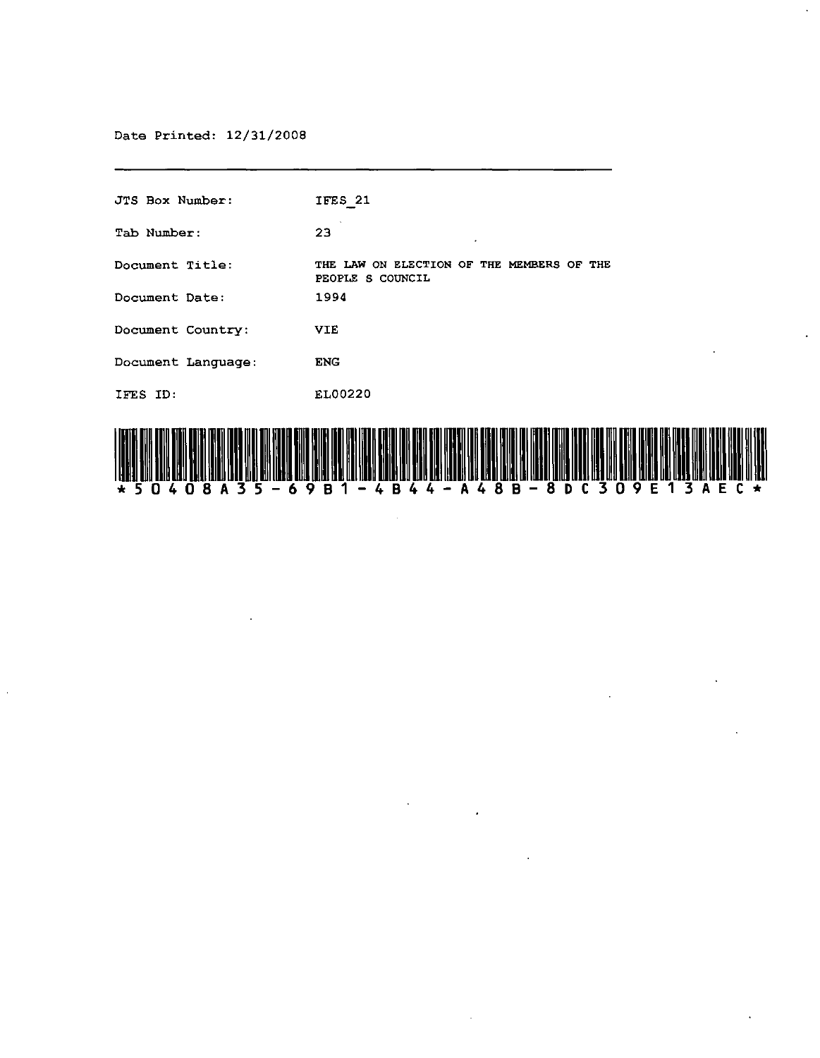Date Printed: 12/31/2008

| <b>JTS Box Number:</b> | IFES 21                                                                                                                                                                                    |
|------------------------|--------------------------------------------------------------------------------------------------------------------------------------------------------------------------------------------|
| Tab Number:            | 23                                                                                                                                                                                         |
| Document Title:        | THE LAW ON ELECTION OF THE MEMBERS OF THE<br>PEOPLE S COUNCIL                                                                                                                              |
| Document Date:         | 1994                                                                                                                                                                                       |
| Document Country:      | <b>VIE</b>                                                                                                                                                                                 |
| Document Lanquage:     | <b>ENG</b>                                                                                                                                                                                 |
| IFES ID:               | EL00220                                                                                                                                                                                    |
|                        | i looks ons ook ott oolsi look man me min on meld ons mine it mil man mem on ons man van mil fite min al mil tij mine look hij ooks vij ooks het mine it mil mine it mine it mil mine it m |

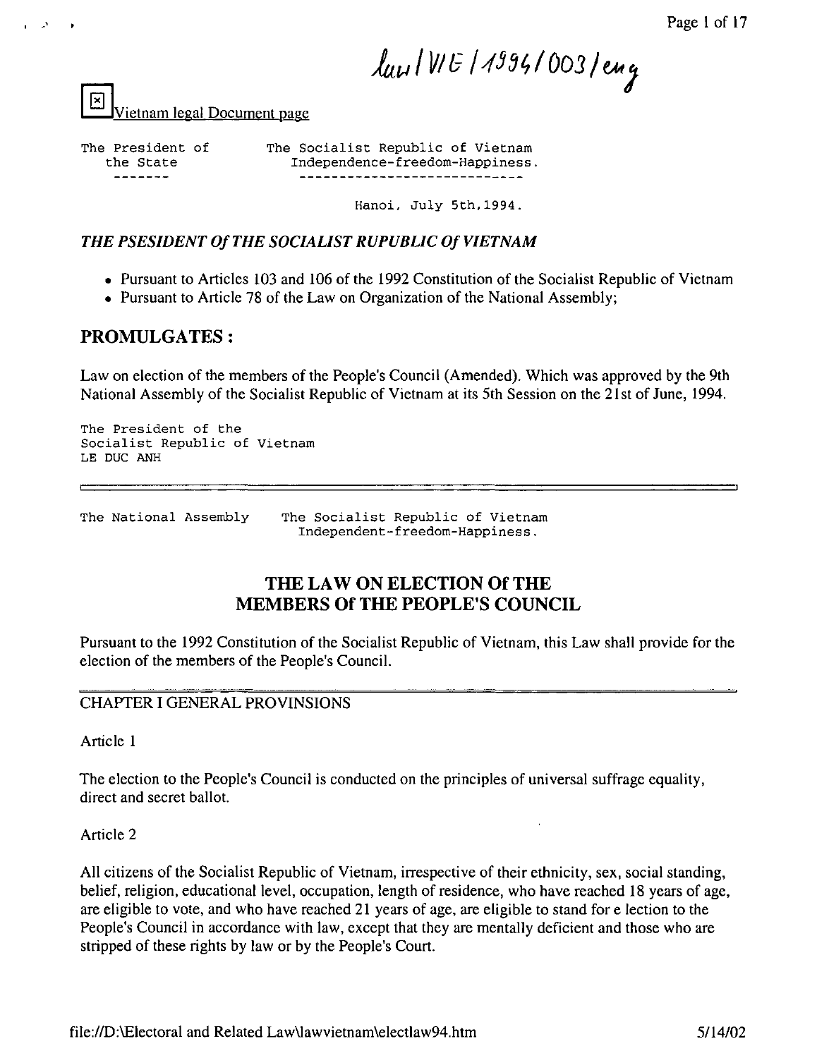law IVIE 11994/003/eng

Vietnam legal Document page

The President of the State

.'

The Socialist Republic of Vietnam Independence-freedom-Happiness.

Hanoi, July 5th,1994.

# **THE PSESIDENT Of THE SOCIALIST RUPUBLIC Of VIETNAM**

- Pursuant to Articles 103 and 106 of the 1992 Constitution of the Socialist Republic of Vietnam
- Pursuant to Article 78 of the Law on Organization of the National Assembly;

# **PROMULGATES:**

Law on election of the members of the People's Council (Amended). Which was approved by the 9th National Assembly of the Socialist Republic of Vietnam at its 5th Session on the 21st of June, 1994.

The President of the Socialist Republic of Vietnam LE Due ANH

The National Assembly The Socialist Republic of Vietnam Independent-freedom-Happiness.

# **THE LAW ON ELECTION Of THE MEMBERS Of THE PEOPLE'S COUNCIL**

Pursuant to the 1992 Constitution of the Socialist Republic of Vietnam, this Law shall provide for the election of the members of the People's Council.

### CHAPTER I GENERAL PROVINSIONS

Article 1

The election to the People's Council is conducted on the principles of universal suffrage equality, direct and secret ballot.

Article 2

All citizens of the Socialist Republic of Vietnam, irrespective of their ethnicity, sex, social standing, belief, religion, educational level, occupation, length of residence, who have reached 18 years of age, are eligible to vote, and who have reached 21 years of age, are eligible to stand for election to the People's Council in accordance with law, except that they are mentally deficient and those who are stripped of these rights by law or by the People's Court.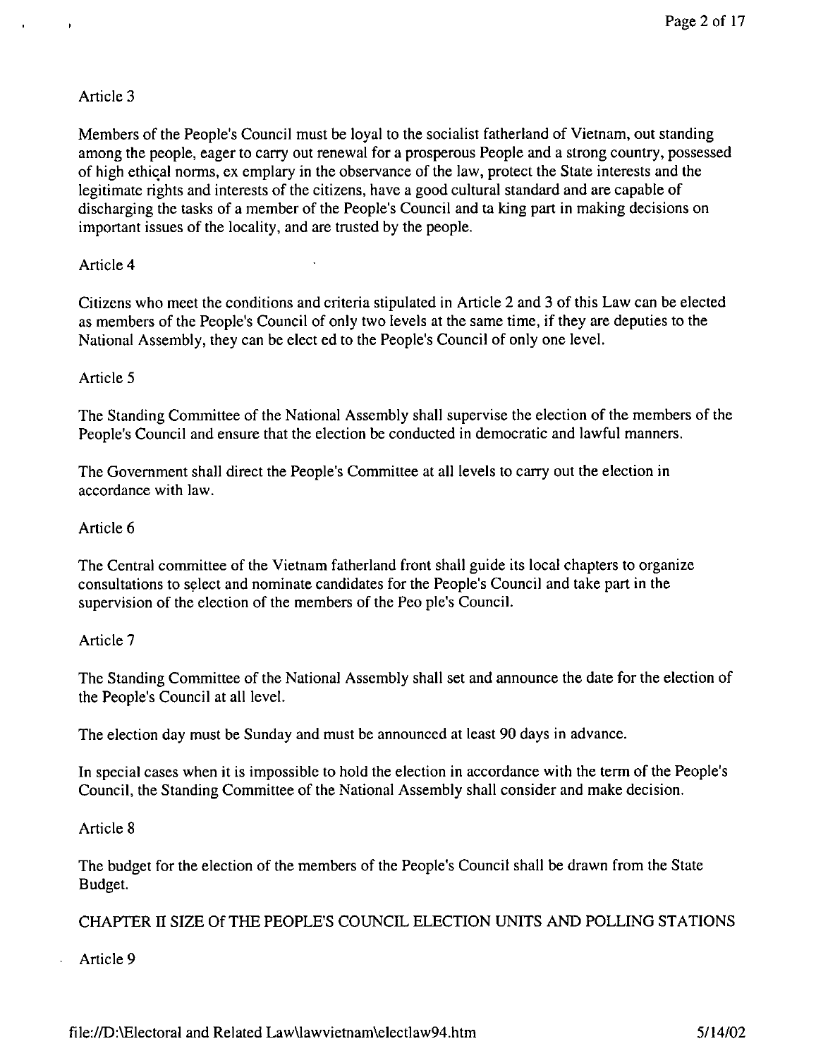$\overline{1}$ 

Members of the People's Council must be loyal to the socialist fatherland of Vietnam, out standing among the people, eager to carry out renewal for a prosperous People and a strong country, possessed of high ethical norms, ex emplary in the observance of the law, protect the State interests and the legitimate rights and interests of the citizens, have a good cultural standard and are capable of discharging the tasks of a member of the People's Council and ta king part in making decisions on important issues of the locality, and are trusted by the people.

### Article 4

Citizens who meet the conditions and criteria stipulated in Article 2 and 3 of this Law can be elected as members of the People's Council of only two levels at the same time, if they are deputies to the National Assembly, they can be elect ed to the People's Council of only one level.

## Article 5

The Standing Committee of the National Assembly shall supervise the election of the members of the People's Council and ensure that the election be conducted in democratic and lawful manners.

The Government shall direct the People's Committee at all levels to carry out the election in accordance with law.

# Article 6

The Central committee of the Vietnam fatherland front shall guide its local chapters to organize consultations to select and nominate candidates for the People's Council and take part in the supervision of the election of the members of the Peo pie's Council.

# Article 7

The Standing Committee of the National Assembly shall set and announce the date for the election of the People's Council at all level.

The election day must be Sunday and must be announced at least 90 days in advance.

In special cases when it is impossible to hold the election in accordance with the term of the People's Council, the Standing Committee of the National Assembly shall consider and make decision.

### Article 8

The budget for the election of the members of the People's Council shall be drawn from the State Budget.

CHAPTER II SIZE Of THE PEOPLE'S COUNCIL ELECTION UNITS AND POLLING STATIONS

Article 9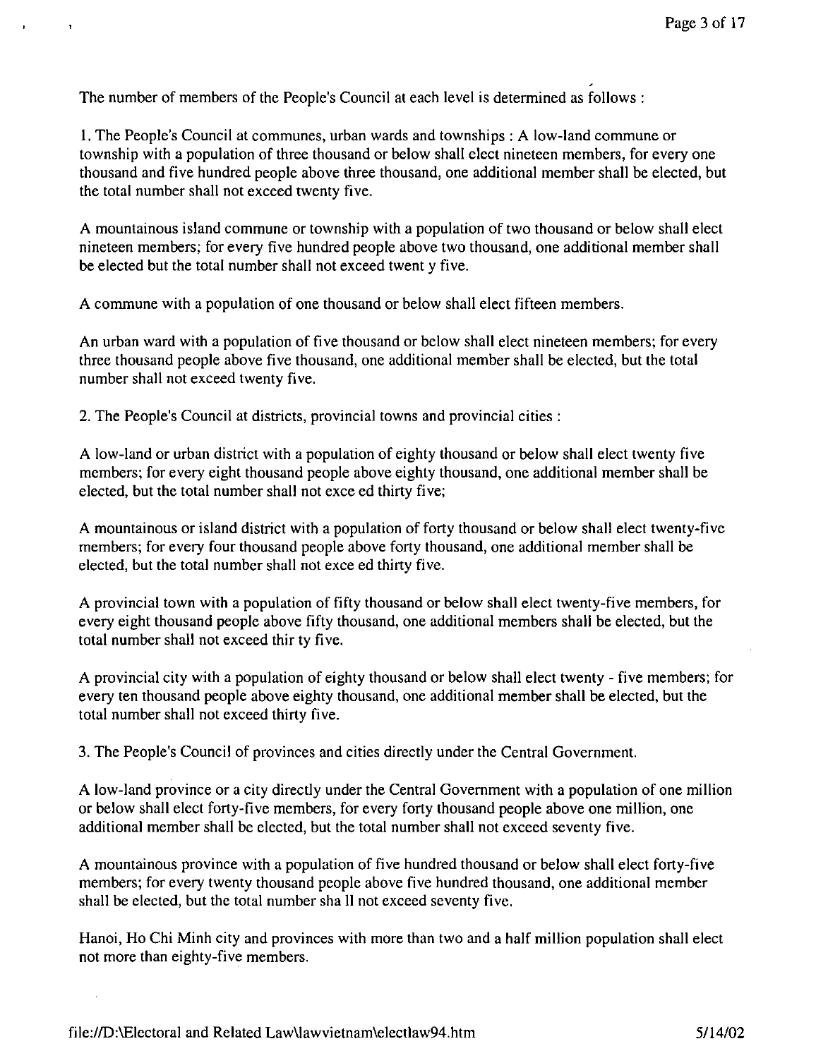The number of members of the People's Council at each level is determined as follows:

 $\ddot{\phantom{1}}$ 

1. The People's Council at communes, urban wards and townships: A low-land commune or township with a population of three thousand or below shall elect nineteen members, for every one thousand and five hundred people above three thousand, one additional member shall be elected, but the total number shall not exceed twenty five.

A mountainous island commune or township with a population of two thousand or below shall elect nineteen members; for every five hundred people above two thousand, one additional member shall be elected but the total number shall not exceed twent y five.

A commune with a population of one thousand or below shall elect fifteen members.

An urban ward with a population of five thousand or below shall elect nineteen members; for every three thousand people above five thousand, one additional member shall be elected, but the total number shall not exceed twenty five.

2. The People's Council at districts, provincial towns and provincial cities:

A low-land or urban district with a population of eighty thousand or below shall elect twenty five members; for every eight thousand people above eighty thousand, one additional member shall be elected, but the total number shall not exce ed thirty five;

A mountainous or island district with a population of forty thousand or below shall elect twenty-five members; for every four thousand people above forty thousand, one additional member shall be elected, but the total number shall not exce ed thirty five.

A provincial town with a population of fifty thousand or below shall elect twenty-five members, for every eight thousand people above fifty thousand, one additional members shall be elected, but the total number shall not exceed thir ty five.

A provincial city with a population of eighty thousand or below shall elect twenty - five members; for every ten thousand people above eighty thousand, one additional member shall be elected, but the total number shall not exceed thirty five.

3. The People's Council of provinces and cities directly under the Central Government.

A low-land province or a city directly under the Central Government with a population of one million or below shall elect forty-five members, for every forty thousand people above one million, one additional member shall be elected, but the total number shall not exceed seventy five.

A mountainous province with a population of five hundred thousand or below shall elect forty-five members; for every twenty thousand people above five hundred thousand, one additional member shall be elected, but the total number sha II not exceed seventy five.

Hanoi, Ho Chi Minh city and provinces with more than two and a half million population shall elect not more than eighty-five members.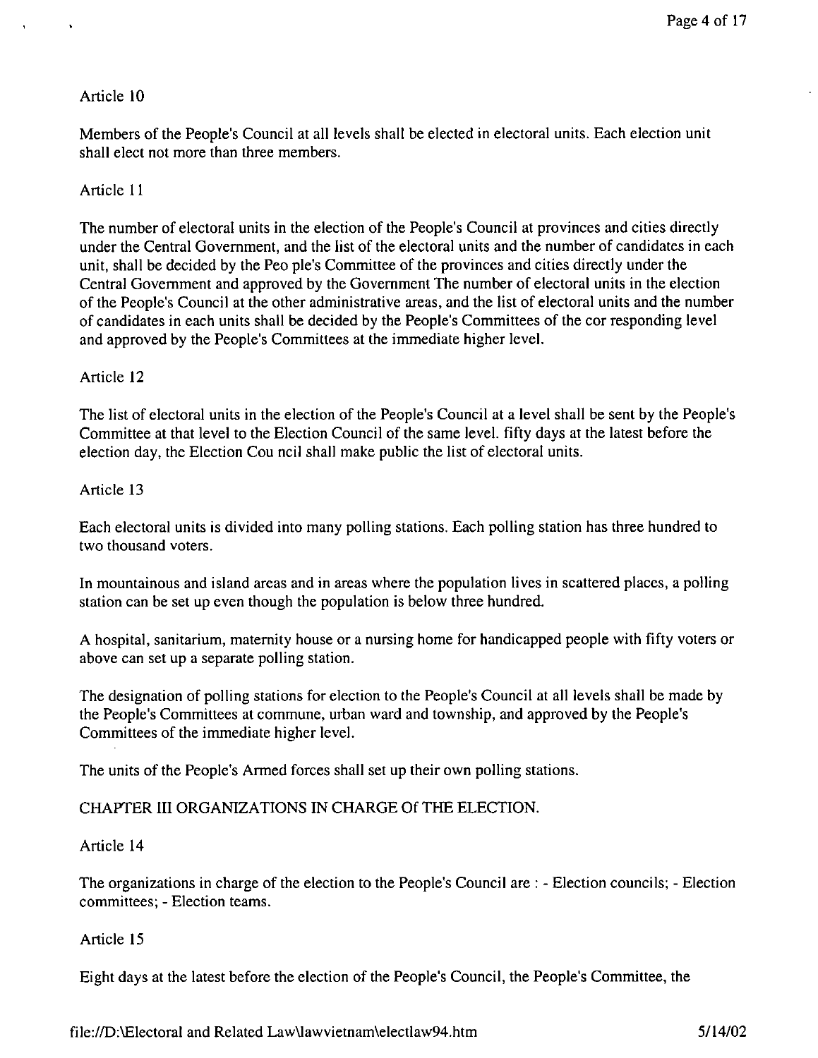Members of the People's Council at all levels shall be elected in electoral units. Each election unit shall elect not more than three members.

## Article 11

The number of electoral units in the election of the People's Council at provinces and cities directly under the Central Government, and the list of the electoral units and the number of candidates in each unit, shall be decided by the Peo pie's Committee of the provinces and cities directly under the Central Government and approved by the Government The number of electoral units in the election of the People's Council at the other administrative areas, and the list of electoral units and the number of candidates in each units shall be decided by the People's Committees of the cor responding level and approved by the People's Committees at the immediate higher level.

## Article 12

The list of electoral units in the election of the People's Council at a level shall be sent by the People's Committee at that level to the Election Council of the same level. fifty days at the latest before the election day, the Election Cou ncil shall make public the list of electoral units.

### Article 13

Each electoral units is divided into many polling stations. Each polling station has three hundred to two thousand voters.

In mountainous and island areas and in areas where the population lives in scattered places, a polling station can be set up even though the population is below three hundred.

A hospital, sanitarium, maternity house or a nursing home for handicapped people with fifty voters or above can set up a separate polling station.

The designation of polling stations for election to the People's Council at all levels shall be made by the People's Committees at commune, urban ward and township, and approved by the People's Committees of the immediate higher level.

The units of the People's Armed forces shall set up their own polling stations.

# CHAPTER III ORGANIZATIONS IN CHARGE Of THE ELECTION.

### Article 14

The organizations in charge of the election to the People's Council are: - Election councils; - Election committees; - Election teams.

### Article 15

Eight days at the latest before the election of the People's Council, the People's Committee, the

file:/ID:\Electoral and Related Law\lawvietnam\electlaw94.htm 5114/02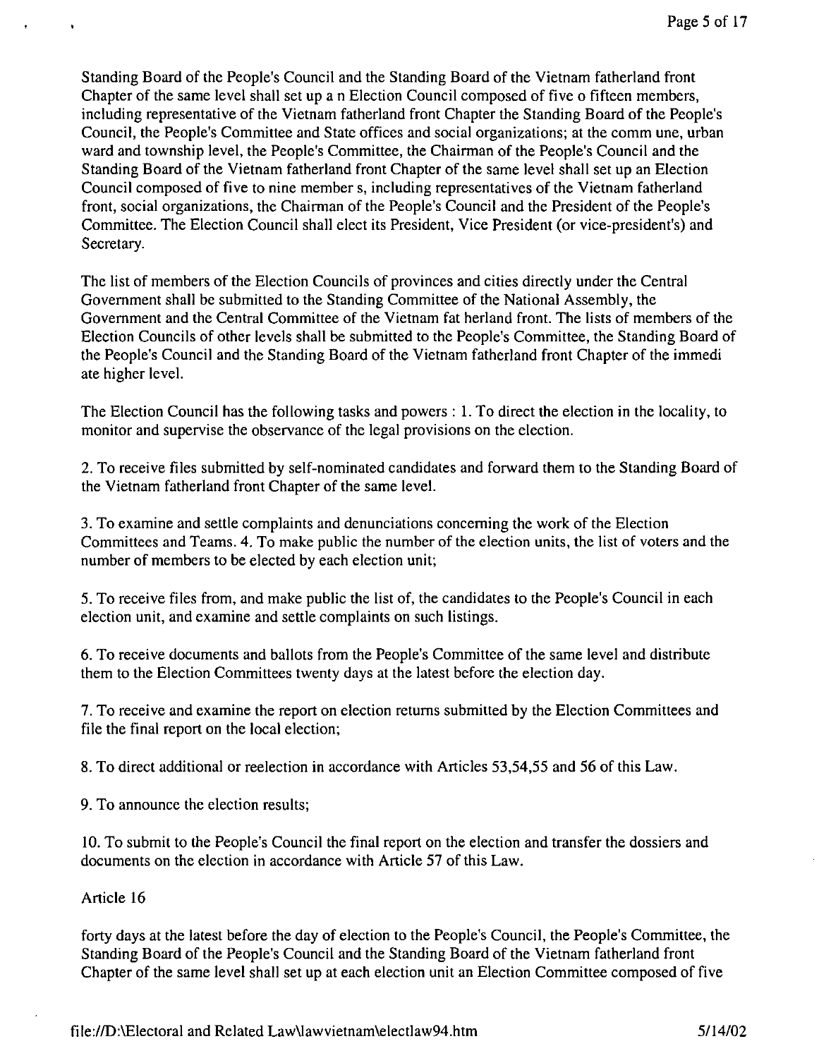Standing Board of the People's Council and the Standing Board of the Vietnam fatherland front Chapter of the same level shall set up a n Election Council composed of five 0 fifteen members, including representative of the Vietnam fatherland front Chapter the Standing Board of the People's Council, the People's Committee and State offices and social organizations; at the comm une, urban ward and township level, the People's Committee, the Chairman of the People's Council and the Standing Board of the Vietnam fatherland front Chapter of the same level shall set up an Election Council composed of five to nine member s, including representatives of the Vietnam fatherland front, social organizations, the Chairman of the People's Council and the President of the People's Committee. The Election Council shall elect its President, Vice President (or vice-president's) and Secretary.

The list of members of the Election Councils of provinces and cities directly under the Central Government shall be submitted to the Standing Committee of the National Assembly, the Government and the Central Committee of the Vietnam fat herland front. The lists of members of the Election Councils of other levels shall be submitted to the People's Committee, the Standing Board of the People's Council and the Standing Board of the Vietnam fatherland front Chapter of the immedi ate higher level.

The Election Council has the following tasks and powers: 1. To direct the election in the locality, to monitor and supervise the observance of the legal provisions on the election.

2. To receive files submitted by self-nominated candidates and forward them to the Standing Board of the Vietnam fatherland front Chapter of the same level.

3. To examine and settle complaints and denunciations concerning the work of the Election Committees and Teams. 4. To make public the number of the election units, the list of voters and the number of members to be elected by each election unit;

5. To receive files from, and make public the list of, the candidates to the People's Council in each election unit, and examine and settle complaints on such listings.

6. To receive documents and ballots from the People's Committee of the same level and distribute them to the Election Committees twenty days at the latest before the election day.

7. To receive and examine the report on election returns submitted by the Election Committees and file the final report on the local election;

8. To direct additional or reelection in accordance with Articles 53,54,55 and 56 of this Law.

9. To announce the election results;

10. To submit to the People's Council the final report on the election and transfer the dossiers and documents on the election in accordance with Article 57 of this Law.

### Article 16

forty days at the latest before the day of election to the People's Council, the People's Committee, the Standing Board of the People's Council and the Standing Board of the Vietnam fatherland front Chapter of the same level shall set up at each election unit an Election Committee composed of five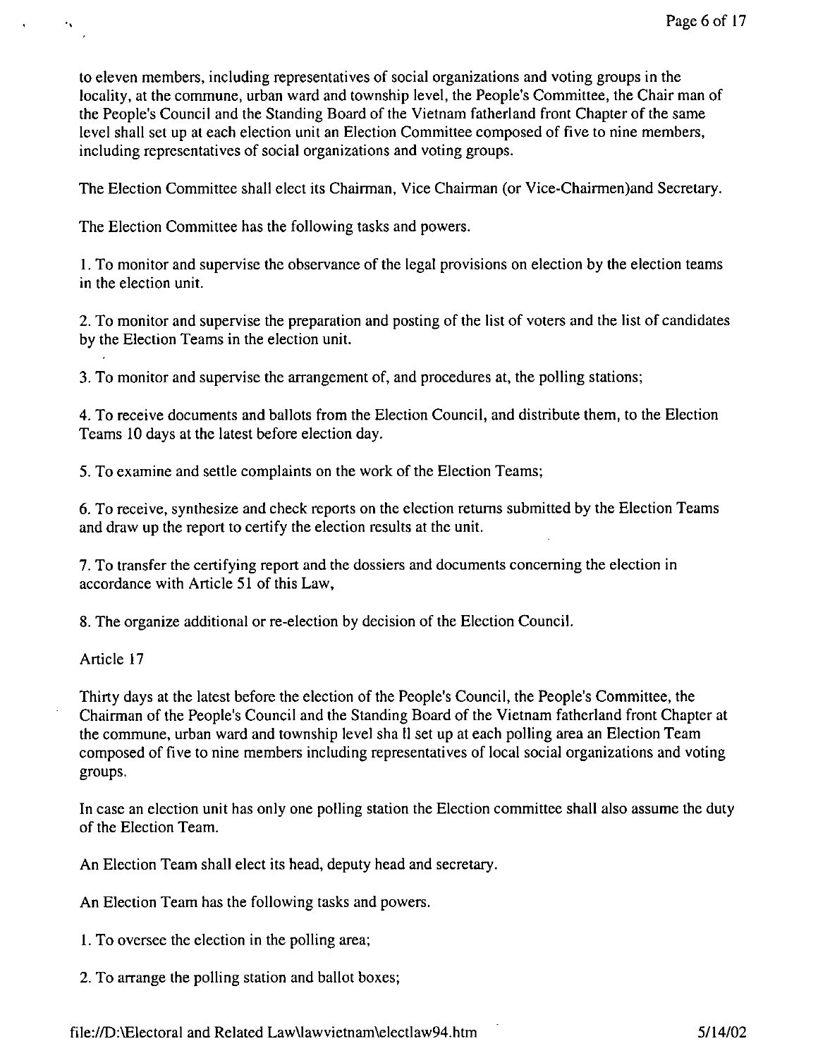to eleven members, including representatives of social organizations and voting groups in the locality, at the commune, urban ward and township level, the People's Committee, the Chair man of the People's Council and the Standing Board of the Vietnam fatherland front Chapter of the same level shall set up at each election unit an Election Committee composed of five to nine members, including representatives of social organizations and voting groups.

The Election Committee shall elect its Chairman, Vice Chairman (or Vice-Chairmen)and Secretary.

The Election Committee has the following tasks and powers.

I. To monitor and supervise the observance of the legal provisions on election by the election teams in the election unit.

2. To monitor and supervise the preparation and posting of the list of voters and the list of candidates by the Election Teams in the election unit.

3. To monitor and supervise the arrangement of, and procedures at, the polling stations;

4. To receive documents and ballots from the Election Council, and distribute them, to the Election Teams 10 days at the latest before election day.

5. To examine and settle complaints on the work of the Election Teams;

6. To receive, synthesize and check reports on the election returns submitted by the Election Teams and draw up the report to certify the election results at the unit.

7. To transfer the certifying report and the dossiers and documents concerning the election in accordance with Article 51 of this Law,

8. The organize additional or re-election by decision of the Election Council.

Article 17

Thirty days at the latest before the election of the People's Council, the People's Committee, the Chairman of the People's Council and the Standing Board of the Vietnam fatherland front Chapter at the commune, urban ward and township level sha II set up at each polling area an Election Team composed of five to nine members including representatives of local social organizations and voting groups.

In case an election unit has only one polling station the Election committee shall also assume the duty of the Election Team.

An Election Team shall elect its head, deputy head and secretary.

An Election Team has the following tasks and powers.

I. To oversee the election in the polling area;

2. To arrange the polling station and ballot boxes;

file://D:\Electoral and Related Law\lawvietnam\electlaw94.htm 5/14/02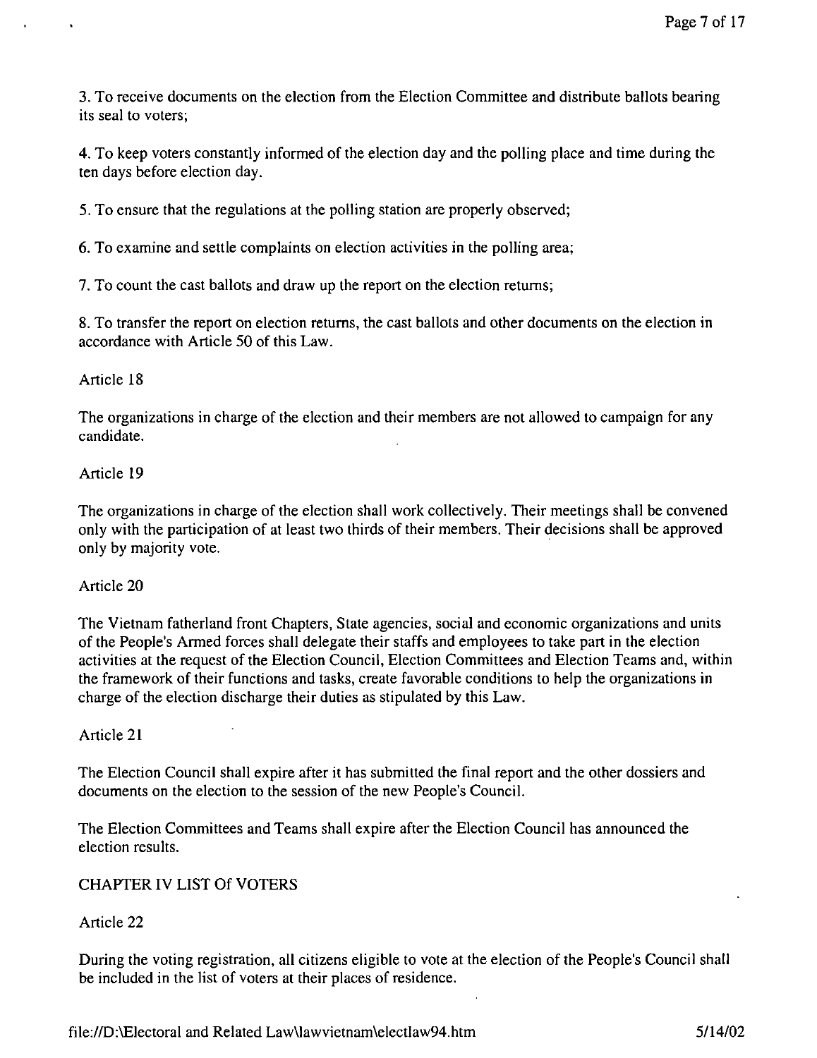3. To receive documents on the election from the Election Committee and distribute ballots bearing its seal to voters;

4. To keep voters constantly informed of the election day and the polling place and time during the ten days before election day.

5. To ensure that the regulations at the polling station are properly observed;

6. To examine and settle complaints on election activities in the polling area;

7. To count the cast ballots and draw up the report on the election returns;

8. To transfer the report on election returns, the cast ballots and other documents on the election in accordance with Article 50 of this Law.

### Article 18

The organizations in charge of the election and their members are not allowed to campaign for any candidate.

### Article 19

The organizations in charge of the election shall work collectively. Their meetings shall be convened only with the participation of at least two thirds of their members. Their decisions shall be approved only by majority vote.

#### Article 20

The Vietnam fatherland front Chapters, State agencies, social and economic organizations and units of the People's Armed forces shall delegate their staffs and employees to take part in the election activities at the request of the Election Council, Election Committees and Election Teams and, within the framework of their functions and tasks, create favorable conditions to help the organizations in charge of the election discharge their duties as stipulated by this Law.

#### Article 21

The Election Council shall expire after it has submitted the final report and the other dossiers and documents on the election to the session of the new People's Council.

The Election Committees and Teams shall expire after the Election Council has announced the election results.

### CHAPTER IV LIST Of VOTERS

### Article 22

During the voting registration, all citizens eligible to vote at the election of the People's Council shall be included in the list of voters at their places of residence.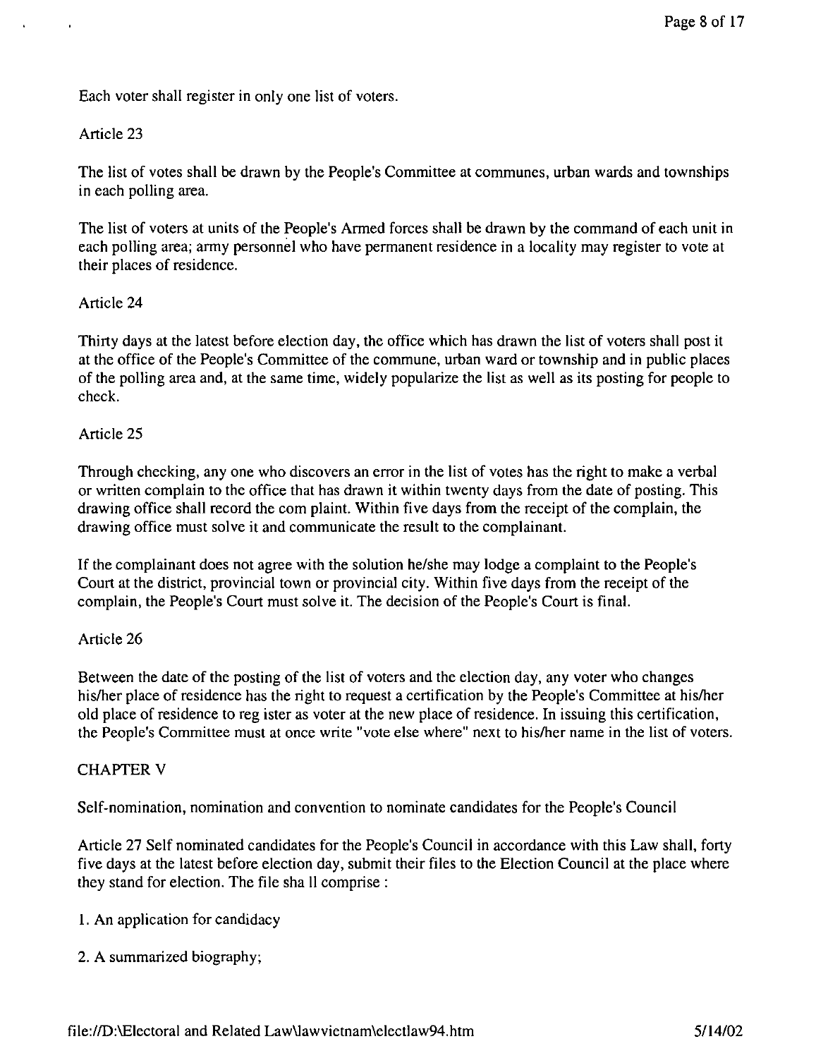Each voter shall register in only one list of voters.

### Article 23

The list of votes shall be drawn by the People's Committee at communes, urban wards and townships in each polling area.

The list of voters at units of the People's Armed forces shall be drawn by the command of each unit in each polling area; army personnel who have permanent residence in a locality may register to vote at their places of residence.

### Article 24

Thirty days at the latest before election day, the office which has drawn the list of voters shall post it at the office of the People's Committee of the commune, urban ward or township and in public places of the polling area and, at the same time, widely popularize the list as well as its posting for people to check.

## Article 25

Through checking, anyone who discovers an error in the list of votes has the right to make a verbal or written complain to the office that has drawn it within twenty days from the date of posting. This drawing office shall record the com plaint. Within five days from the receipt of the complain, the drawing office must solve it and communicate the result to the complainant.

If the complainant does not agree with the solution he/she may lodge a complaint to the People's Court at the district, provincial town or provincial city. Within five days from the receipt of the complain, the People's Court must solve it. The decision of the People's Court is final.

### Article 26

Between the date of the posting of the list of voters and the election day, any voter who changes his/her place of residence has the right to request a certification by the People's Committee at his/her old place of residence to reg ister as voter at the new place of residence. In issuing this certification, the People's Committee must at once write "vote else where" next to his/her name in the list of voters.

### CHAPTER V

Self-nomination, nomination and convention to nominate candidates for the People's Council

Article 27 Self nominated candidates for the People's Council in accordance with this Law shall, forty five days at the latest before election day, submit their files to the Election Council at the place where they stand for election. The file sha II comprise:

I. An application for candidacy

2. A summarized biography;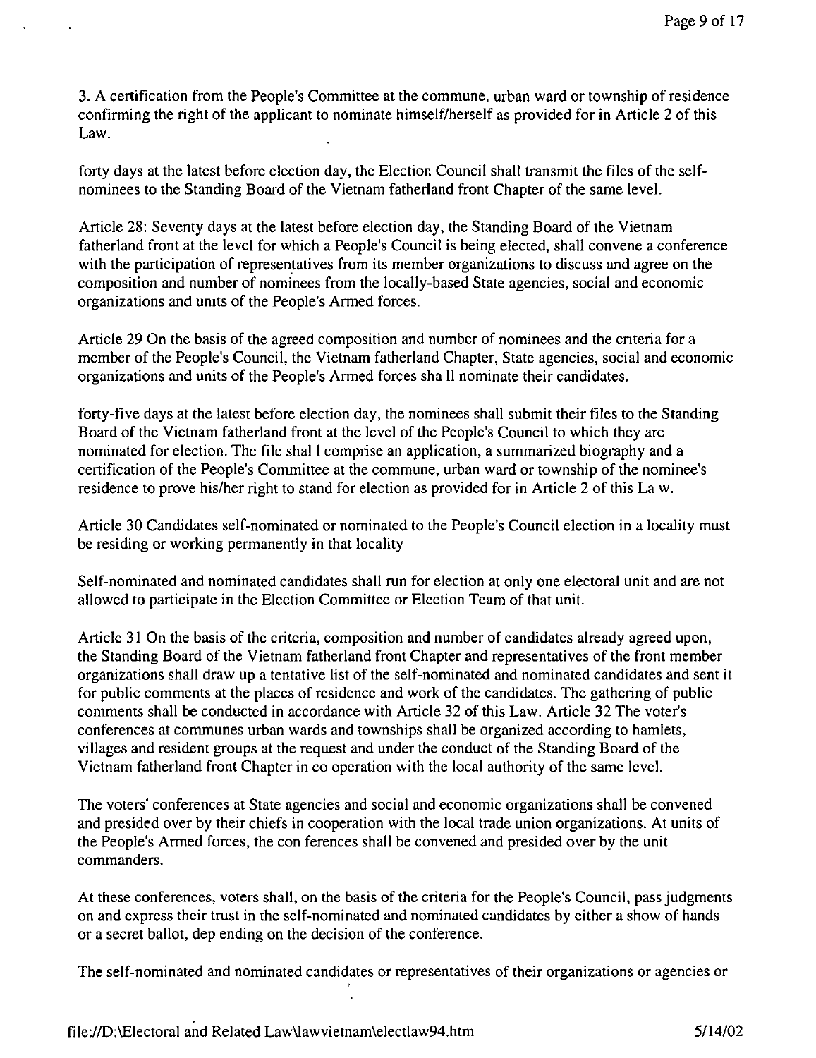3. A certification from the People's Committee at the commune, urban ward or township of residence confirming the right of the applicant to nominate himself/herself as provided for in Article 2 of this Law.

forty days at the latest before election day, the Election Council shall transmit the files of the selfnominees to the Standing Board of the Vietnam fatherland front Chapter of the same level.

Article 28: Seventy days at the latest before election day, the Standing Board of the Vietnam fatherland front at the level for which a People's Council is being elected, shall convene a conference with the participation of representatives from its member organizations to discuss and agree on the composition and number of nominees from the locally-based State agencies, social and economic organizations and units of the People's Armed forces.

Article 29 On the basis of the agreed composition and number of nominees and the criteria for a member of the People's Council, the Vietnam fatherland Chapter, State agencies, social and economic organizations and units of the People's Armed forces sha 11 nominate their candidates.

forty-five days at the latest before election day, the nominees shall submit their files to the Standing Board of the Vietnam fatherland front at the level of the People's Council to which they are nominated for election. The file shall comprise an application, a summarized biography and a certification of the People's Committee at the commune, urban ward or township of the nominee's residence to prove his/her right to stand for election as provided for in Article 2 of this La w.

Article 30 Candidates self-nominated or nominated to the People's Council election in a locality must be residing or working permanently in that locality

Self-nominated and nominated candidates shall run for election at only one electoral unit and are not allowed to participate in the Election Committee or Election Team of that unit.

Article 31 On the basis of the criteria, composition and number of candidates already agreed upon, the Standing Board of the Vietnam fatherland front Chapter and representatives of the front member organizations shall draw up a tentative list of the self-nominated and nominated candidates and sent it for public comments at the places of residence and work of the candidates. The gathering of public comments shall be conducted in accordance with Article 32 of this Law. Article 32 The voter's conferences at communes urban wards and townships shall be organized according to hamlets, villages and resident groups at the request and under the conduct of the Standing Board of the Vietnam fatherland front Chapter in co operation with the local authority of the same level.

The voters' conferences at State agencies and social and economic organizations shall be convened and presided over by their chiefs in cooperation with the local trade union organizations. At units of the People's Armed forces, the con ferences shall be convened and presided over by the unit commanders.

At these conferences, voters shall, on the basis of the criteria for the People's Council, pass judgments on and express their trust in the self-nominated and nominated candidates by either a show of hands or a secret ballot, dep ending on the decision of the conference.

The self-nominated and nominated candidates or representatives of their organizations or agencies or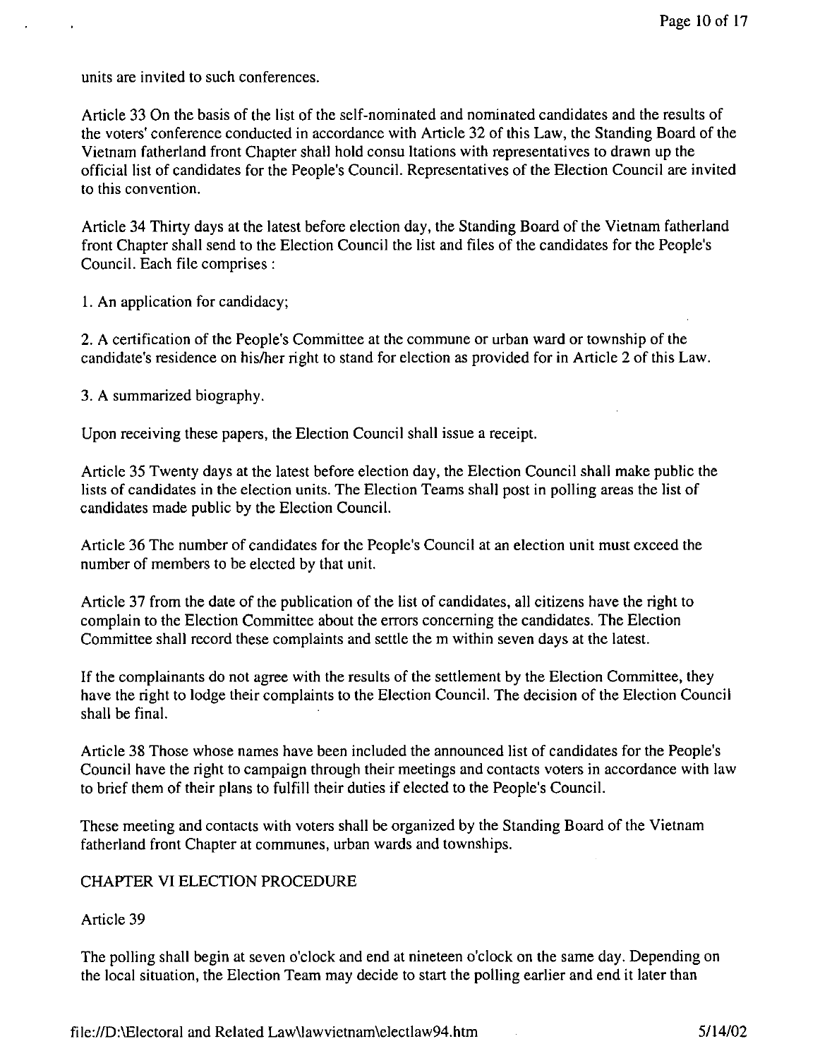units are invited to such conferences.

Article 33 On the basis of the list of the self-nominated and nominated candidates and the results of the voters' conference conducted in accordance with Article 32 of this Law, the Standing Board of the Vietnam fatherland front Chapter shall hold consu Itations with representatives to drawn up the official list of candidates for the People's Council. Representatives of the Election Council are invited to this convention.

Article 34 Thirty days at the latest before election day, the Standing Board of the Vietnam fatherland front Chapter shall send to the Election Council the list and files of the candidates for the People's Council. Each file comprises:

1. An application for candidacy;

2. A certification of the People's Committee at the commune or urban ward or township of the candidate's residence on hislher right to stand for election as provided for in Article 2 of this Law.

3. A summarized biography.

Upon receiving these papers, the Election Council shall issue a receipt.

Article 35 Twenty days at the latest before election day, the Election Council shall make public the lists of candidates in the election units. The Election Teams shall post in polling areas the list of candidates made public by the Election Council.

Article 36 The number of candidates for the People's Council at an election unit must exceed the number of members to be elected by that unit.

Article 37 from the date of the publication of the list of candidates, all citizens have the right to complain to the Election Committee about the errors concerning the candidates. The Election Committee shall record these complaints and settle the m within seven days at the latest.

If the complainants do not agree with the results of the settlement by the Election Committee, they have the right to lodge their complaints to the Election Council. The decision of the Election Council shall be final.

Article 38 Those whose names have been included the announced list of candidates for the People's Council have the right to campaign through their meetings and contacts voters in accordance with law to brief them of their plans to fulfill their duties if elected to the People's Council.

These meeting and contacts with voters shall be organized by the Standing Board of the Vietnam fatherland front Chapter at communes, urban wards and townships.

### CHAPTER VI ELECTION PROCEDURE

### Article 39

The polling shall begin at seven o'clock and end at nineteen o'clock on the same day. Depending on the local situation, the Election Team may decide to start the polling earlier and end it later than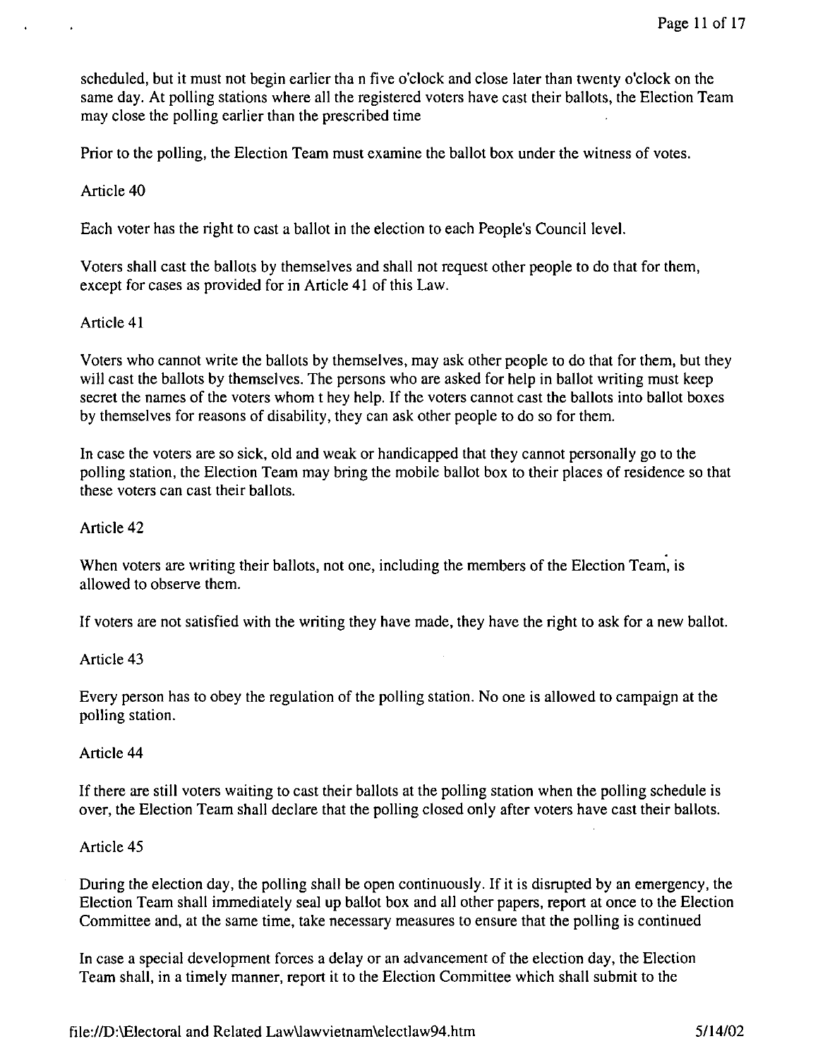scheduled, but it must not begin earlier tha n five o'clock and close later than twenty o'clock on the same day. At polling stations where all the registered voters have cast their ballots, the Election Team may close the polling earlier than the prescribed time

Prior to the polling, the Election Team must examine the ballot box under the witness of votes.

### Article 40

Each voter has the right to cast a ballot in the election to each People's Council level.

Voters shall cast the ballots by themselves and shall not request other people to do that for them, except for cases as provided for in Article 41 of this Law.

### Article 41

Voters who cannot write the ballots by themselves, may ask other people to do that for them, but they will cast the ballots by themselves. The persons who are asked for help in ballot writing must keep secret the names of the voters whom t hey help. If the voters cannot cast the ballots into ballot boxes by themselves for reasons of disability, they can ask other people to do so for them.

In case the voters are so sick, old and weak or handicapped that they cannot personally go to the polling station, the Election Team may bring the mobile ballot box to their places of residence so that these voters can cast their ballots.

## Article 42

When voters are writing their ballots, not one, including the members of the Election Team, is allowed to observe them.

If voters are not satisfied with the writing they have made, they have the right to ask for a new ballot.

### Article 43

Every person has to obey the regulation of the polling station. No one is allowed to campaign at the polling station.

### Article 44

If there are still voters waiting to cast their ballots at the polling station when the polling schedule is over, the Election Team shall declare that the polling closed only after voters have cast their ballots.

### Article 45

During the election day, the polling shall be open continuously. If it is disrupted by an emergency, the Election Team shall immediately seal up ballot box and all other papers, report at once to the Election Committee and, at the same time, take necessary measures to ensure that the polling is continued

In case a special development forces a delay or an advancement of the election day, the Election Team shall, in a timely manner, report it to the Election Committee which shall submit to the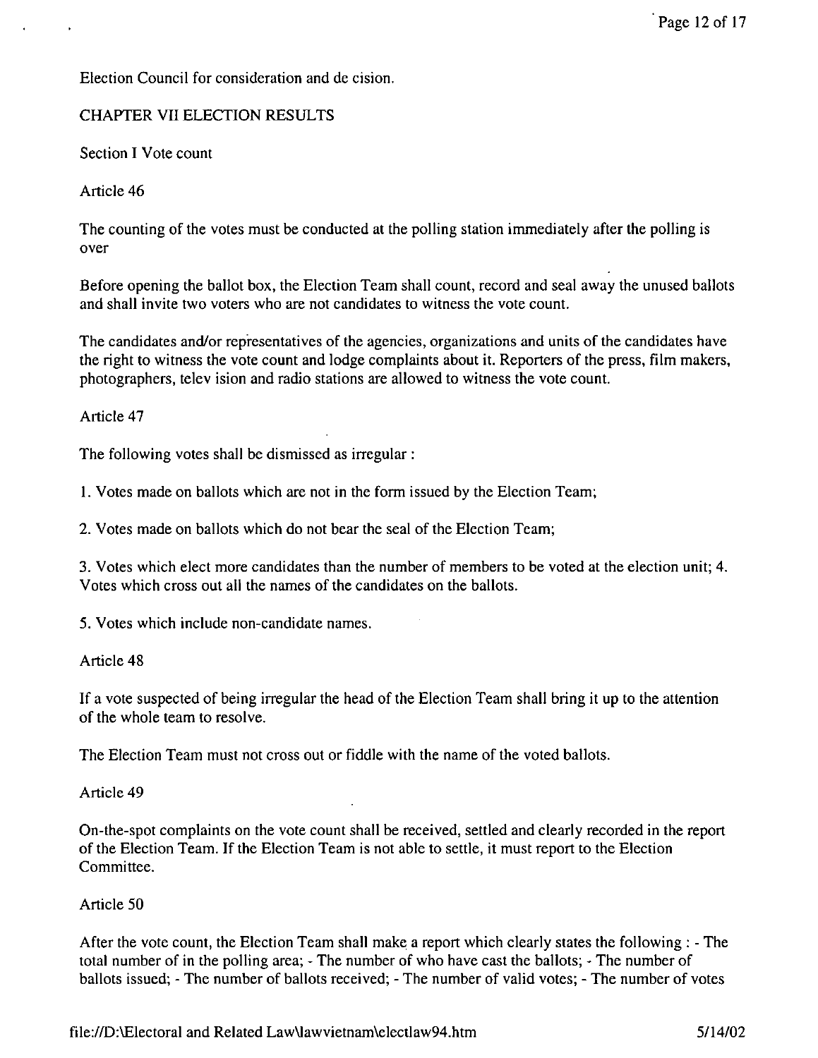Election Council for consideration and de cision.

# CHAPTER VII ELECTION RESULTS

Section I Vote count

Article 46

The counting of the votes must be conducted at the polling station immediately after the polling is over

Before opening the ballot box, the Election Team shall count, record and seal away the unused ballots and shall invite two voters who are not candidates to witness the vote count.

The candidates and/or representatives of the agencies, organizations and units of the candidates have the right to witness the vote count and lodge complaints about it. Reporters of the press, film makers, photographers, telev ision and radio stations are allowed to witness the vote count.

Article 47

The following votes shall be dismissed as irregular:

1. Votes made on ballots which are not in the form issued by the Election Team;

2. Votes made on ballots which do not bear the seal of the Election Team;

3. Votes which elect more candidates than the number of members to be voted at the election unit; 4. Votes which cross out all the names of the candidates on the ballots.

5. Votes which include non-candidate names.

Article 48

If a vote suspected of being irregular the head of the Election Team shall bring it up to the attention of the whole team to resolve.

The Election Team must not cross out or fiddle with the name of the voted ballots.

Article 49

On-the-spot complaints on the vote count shall be received, settled and clearly recorded in the report of the Election Team. If the Election Team is not able to settle, it must report to the Election Committee.

# Article 50

After the vote count, the Election Team shall make a report which clearly states the following: - The total number of in the polling area; - The number of who have cast the ballots; - The number of ballots issued; - The number of ballots received; - The number of valid votes; - The number of votes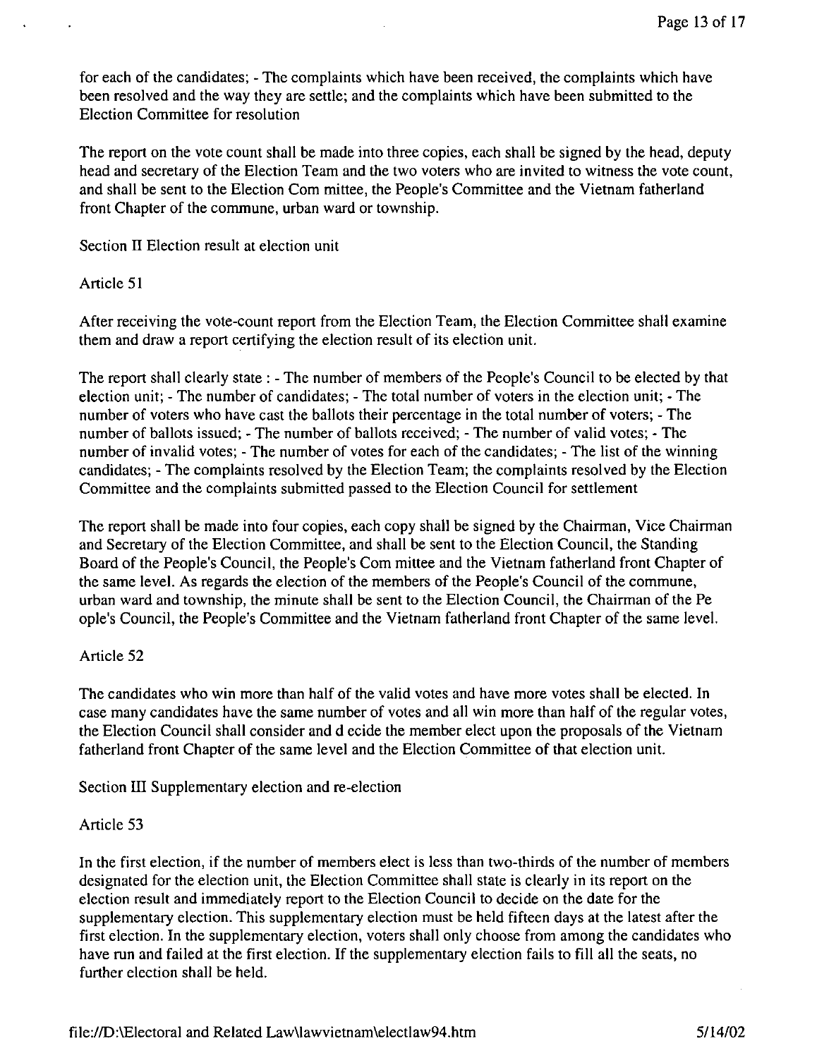for each of the candidates; - The complaints which have been received, the complaints which have been resolved and the way they are settle; and the complaints which have been submitted to the Election Committee for resolution

The report on the vote count shall be made into three copies, each shall be signed by the head, deputy head and secretary of the Election Team and the two voters who are invited to witness the vote count, and shall be sent to the Election Com mittee, the People's Committee and the Vietnam fatherland front Chapter of the commune, urban ward or township.

Section II Election result at election unit

#### Article 51

After receiving the vote-count report from the Election Team, the Election Committee shall examine them and draw a report certifying the election result of its election unit.

The report shall clearly state: - The number of members of the People's Council to be elected by that election unit; - The number of candidates; - The total number of voters in the election unit; - The number of voters who have cast the ballots their percentage in the total number of voters; - The number of ballots issued; - The number of ballots received; - The number of valid votes; - The number of invalid votes; - The number of votes for each of the candidates; - The list of the winning candidates; - The complaints resolved by the Election Team; the complaints resolved by the Election Committee and the complaints submitted passed to the Election Council for settlement

The report shall be made into four copies, each copy shall be signed by the Chairman, Vice Chairman and Secretary of the Election Committee, and shall be sent to the Election Council, the Standing Board of the People's Council, the People's Com mittee and the Vietnam fatherland front Chapter of the same level. As regards the election of the members of the People's Council of the commune, urban ward and township, the minute shall be sent to the Election Council, the Chairman of the Pe ople's Council, the People's Committee and the Vietnam fatherland front Chapter of the same level.

### Article 52

The candidates who win more than half of the valid votes and have more votes shall be elected. In case many candidates have the same number of votes and all win more than half of the regular votes, the Election Council shall consider and decide the member elect upon the proposals of the Vietnam fatherland front Chapter of the same level and the Election Committee of that election unit.

Section III Supplementary election and re-election

#### Article 53

In the first election, if the number of members elect is less than two-thirds of the number of members designated for the election unit, the Election Committee shall state is clearly in its report on the election result and immediately report to the Election Council to decide on the date for the supplementary election. This supplementary election must be held fifteen days at the latest after the first election. In the supplementary election, voters shall only choose from among the candidates who have run and failed at the first election. If the supplementary election fails to fill all the seats, no further election shall be held.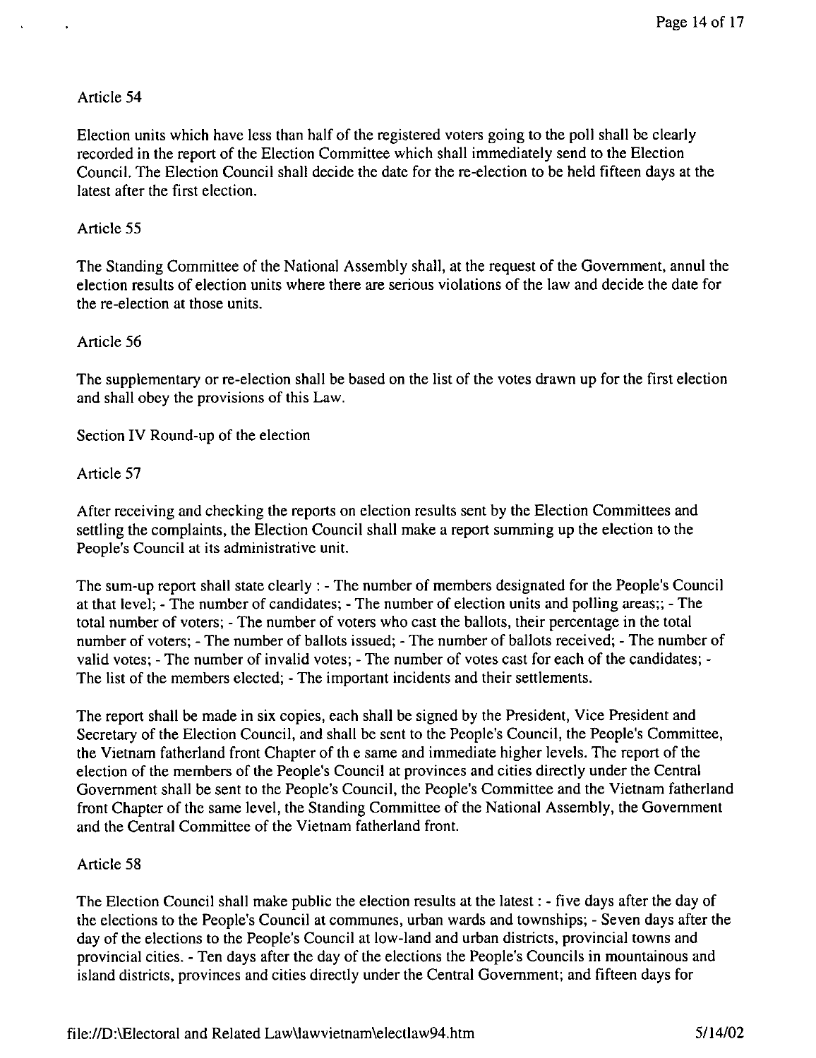Election units which have less than half of the registered voters going to the poll shall be clearly recorded in the report of the Election Committee which shall immediately send to the Election Council. The Election Council shall decide the date for the re-election to be held fifteen days at the latest after the first election.

### Article 55

The Standing Committee of the National Assembly shall, at the request of the Government, annul the election results of election units where there are serious violations of the law and decide the date for the re-election at those units.

### Article 56

The supplementary or re-election shall be based on the list of the votes drawn up for the first election and shall obey the provisions of this Law.

Section IV Round-up of the election

## Article 57

After receiving and checking the reports on election results sent by the Election Committees and settling the complaints, the Election Council shall make a report summing up the election to the People's Council at its administrative unit.

The sum-up report shall state clearly: - The number of members designated for the People's Council at that level; - The number of candidates; - The number of election units and polling areas;; - The total number of voters; - The number of voters who cast the ballots, their percentage in the total number of voters; - The number of ballots issued; - The number of ballots received; - The number of valid votes; - The number of invalid votes; - The number of votes cast for each of the candidates; - The list of the members elected; - The important incidents and their settlements.

The report shall be made in six copies, each shall be signed by the President, Vice President and Secretary of the Election Council, and shall be sent to the People's Council, the People's Committee, the Vietnam fatherland front Chapter of th e same and immediate higher levels. The report of the election of the members of the People's Council at provinces and cities directly under the Central Government shall be sent to the People's Council, the People's Committee and the Vietnam fatherland front Chapter of the same level, the Standing Committee of the National Assembly, the Government and the Central Committee of the Vietnam fatherland front.

### Article 58

The Election Council shall make public the election results at the latest: - five days after the day of the elections to the People's Council at communes, urban wards and townships; - Seven days after the day of the elections to the People's Council at low-land and urban districts, provincial towns and provincial cities. - Ten days after the day of the elections the People's Councils in mountainous and island districts, provinces and cities directly under the Central Government; and fifteen days for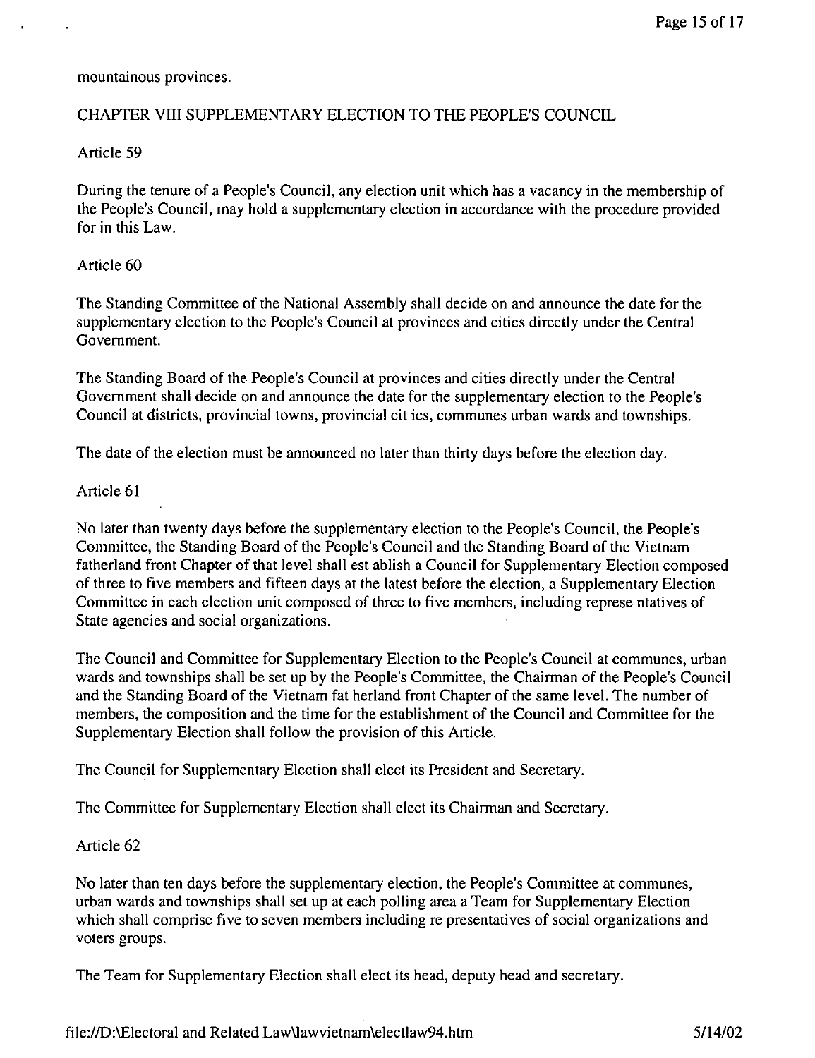mountainous provinces.

### CHAPTER VIII SUPPLEMENTARY ELECTION TO THE PEOPLE'S COUNCIL

Article 59

During the tenure of a People's Council, any election unit which has a vacancy in the membership of the People's Council, may hold a supplementary election in accordance with the procedure provided for in this Law.

#### Article 60

The Standing Committee of the National Assembly shall decide on and announce the date for the supplementary election to the People's Council at provinces and cities directly under the Central Government.

The Standing Board of the People's Council at provinces and cities directly under the Central Government shall decide on and announce the date for the supplementary election to the People's Council at districts, provincial towns, provincial cit ies, communes urban wards and townships.

The date of the election must be announced no later than thirty days before the election day.

#### Article 61

No later than twenty days before the supplementary election to the People's Council, the People's Committee, the Standing Board of the People's Council and the Standing Board of the Vietnam fatherland front Chapter of that level shall est ablish a Council for Supplementary Election composed of three to five members and fifteen days at the latest before the election, a Supplementary Election Committee in each election unit composed of three to five members, including represe ntatives of State agencies and social organizations.

The Council and Committee for Supplementary Election to the People's Council at communes, urban wards and townships shall be set up by the People's Committee, the Chairman of the People's Council and the Standing Board of the Vietnam fat herland front Chapter of the same level. The number of members, the composition and the time for the establishment of the Council and Committee for the Supplementary Election shall follow the provision of this Article.

The Council for Supplementary Election shall elect its President and Secretary.

The Committee for Supplementary Election shall elect its Chairman and Secretary.

#### Article 62

No later than ten days before the supplementary election, the People's Committee at communes, urban wards and townships shall set up at each polling area a Team for Supplementary Election which shall comprise five to seven members including re presentatives of social organizations and voters groups.

The Team for Supplementary Election shall elect its head, deputy head and secretary.

file:IID:\Electoral and Related Law\lawvietnam\electlaw94.htm 5/14/02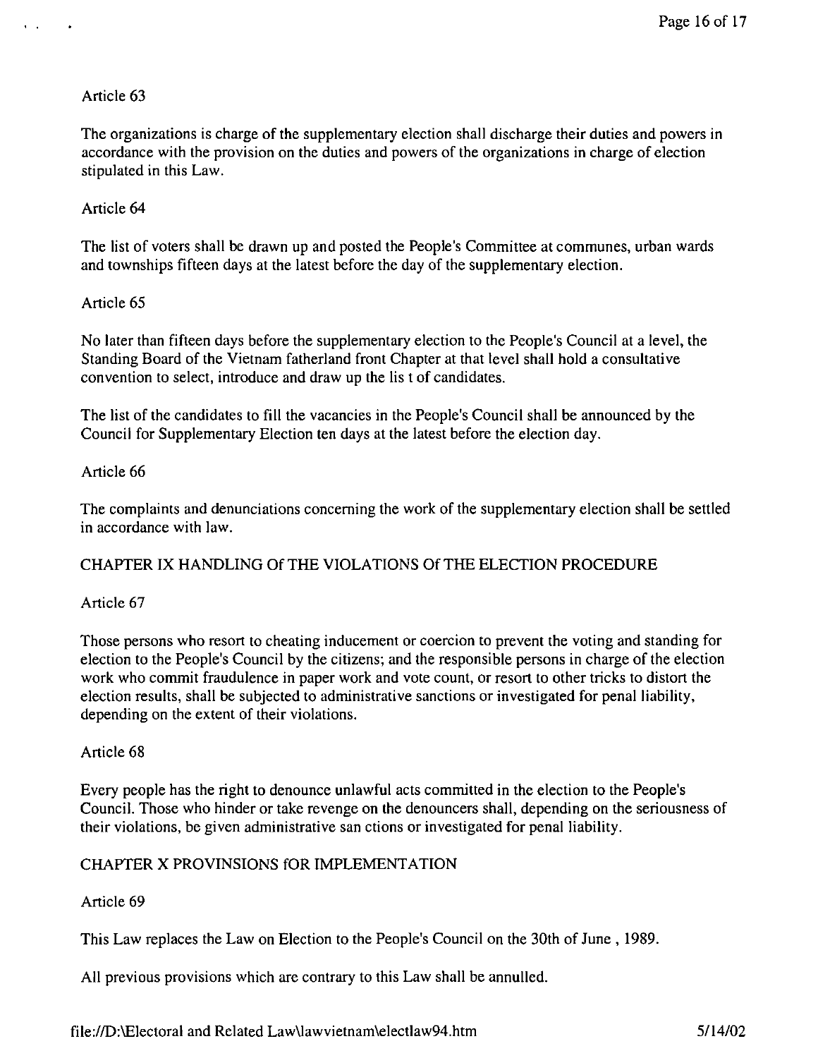$\mathcal{L}^{\text{max}}$ 

The organizations is charge of the supplementary election shall discharge their duties and powers in accordance with the provision on the duties and powers of the organizations in charge of election stipulated in this Law.

### Article 64

The list of voters shall be drawn up and posted the People's Committee at communes, urban wards and townships fifteen days at the latest before the day of the supplementary election.

#### Article 65

No later than fifteen days before the supplementary election to the People's Council at a level, the Standing Board of the Vietnam fatherland front Chapter at that level shall hold a consultative convention to select, introduce and draw up the lis t of candidates.

The list of the candidates to fill the vacancies in the People's Council shall be announced by the Council for Supplementary Election ten days at the latest before the election day.

### Article 66

The complaints and denunciations concerning the work of the supplementary election shall be settled in accordance with law.

### CHAPTER IX HANDLING Of THE VIOLATIONS Of THE ELECTION PROCEDURE

### Article 67

Those persons who resort to cheating inducement or coercion to prevent the voting and standing for election to the People's Council by the citizens; and the responsible persons in charge of the election work who commit fraudulence in paper work and vote count, or resort to other tricks to distort the election results, shall be subjected to administrative sanctions or investigated for penal liability, depending on the extent of their violations.

#### Article 68

Every people has the right to denounce unlawful acts committed in the election to the People's Council. Those who hinder or take revenge on the denouncers shall, depending on the seriousness of their violations, be given administrative san ctions or investigated for penal liability.

### CHAPTER X PROVINSIONS fOR IMPLEMENTATION

### Article 69

This Law replaces the Law on Election to the People's Council on the 30th of June, 1989.

All previous provisions which are contrary to this Law shall be annulled.